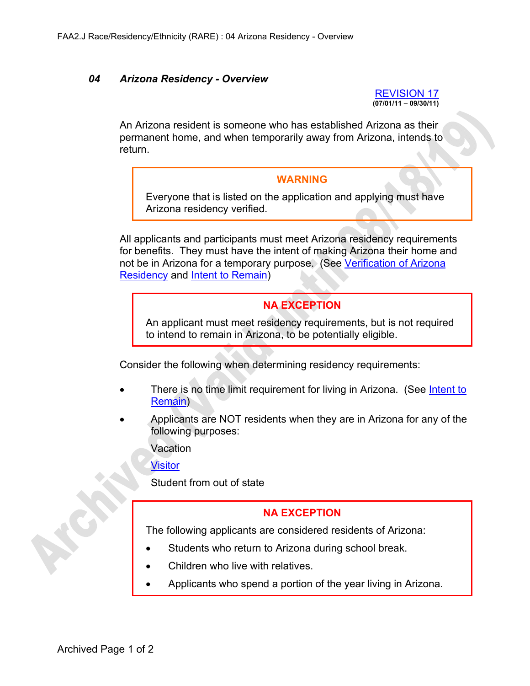## *04 Arizona Residency - Overview*

REVISION 17 **(07/01/11 – 09/30/11)** 

An Arizona resident is someone who has established Arizona as their permanent home, and when temporarily away from Arizona, intends to return.

## **WARNING**

Everyone that is listed on the application and applying must have Arizona residency verified.

All applicants and participants must meet Arizona residency requirements for benefits. They must have the intent of making Arizona their home and not be in Arizona for a temporary purpose. (See Verification of Arizona Residency and Intent to Remain)

## **NA EXCEPTION**

An applicant must meet residency requirements, but is not required to intend to remain in Arizona, to be potentially eligible.

Consider the following when determining residency requirements:

- There is no time limit requirement for living in Arizona. (See Intent to Remain)
- Applicants are NOT residents when they are in Arizona for any of the following purposes:

Vacation

Visitor

Student from out of state

## **NA EXCEPTION**

The following applicants are considered residents of Arizona:

- Students who return to Arizona during school break.
- Children who live with relatives.
- Applicants who spend a portion of the year living in Arizona.